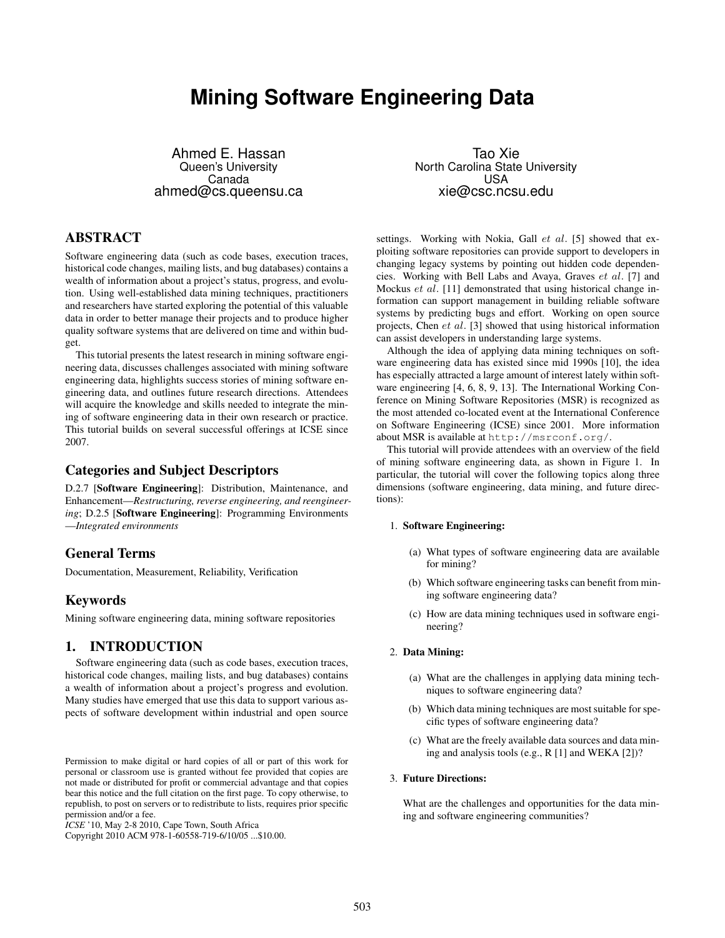# **Mining Software Engineering Data**

Ahmed E. Hassan Queen's University Canada ahmed@cs.queensu.ca

# ABSTRACT

Software engineering data (such as code bases, execution traces, historical code changes, mailing lists, and bug databases) contains a wealth of information about a project's status, progress, and evolution. Using well-established data mining techniques, practitioners and researchers have started exploring the potential of this valuable data in order to better manage their projects and to produce higher quality software systems that are delivered on time and within budget.

This tutorial presents the latest research in mining software engineering data, discusses challenges associated with mining software engineering data, highlights success stories of mining software engineering data, and outlines future research directions. Attendees will acquire the knowledge and skills needed to integrate the mining of software engineering data in their own research or practice. This tutorial builds on several successful offerings at ICSE since 2007.

## Categories and Subject Descriptors

D.2.7 [Software Engineering]: Distribution, Maintenance, and Enhancement—*Restructuring, reverse engineering, and reengineering*; D.2.5 [Software Engineering]: Programming Environments —*Integrated environments*

## General Terms

Documentation, Measurement, Reliability, Verification

### Keywords

Mining software engineering data, mining software repositories

## 1. INTRODUCTION

Software engineering data (such as code bases, execution traces, historical code changes, mailing lists, and bug databases) contains a wealth of information about a project's progress and evolution. Many studies have emerged that use this data to support various aspects of software development within industrial and open source

*ICSE* '10, May 2-8 2010, Cape Town, South Africa

Copyright 2010 ACM 978-1-60558-719-6/10/05 ...\$10.00.

Tao Xie North Carolina State University **USA** xie@csc.ncsu.edu

settings. Working with Nokia, Gall  $et$   $al.$  [5] showed that exploiting software repositories can provide support to developers in changing legacy systems by pointing out hidden code dependencies. Working with Bell Labs and Avaya, Graves et al. [7] and Mockus et al. [11] demonstrated that using historical change information can support management in building reliable software systems by predicting bugs and effort. Working on open source projects, Chen et al. [3] showed that using historical information can assist developers in understanding large systems.

Although the idea of applying data mining techniques on software engineering data has existed since mid 1990s [10], the idea has especially attracted a large amount of interest lately within software engineering [4, 6, 8, 9, 13]. The International Working Conference on Mining Software Repositories (MSR) is recognized as the most attended co-located event at the International Conference on Software Engineering (ICSE) since 2001. More information about MSR is available at http://msrconf.org/.

This tutorial will provide attendees with an overview of the field of mining software engineering data, as shown in Figure 1. In particular, the tutorial will cover the following topics along three dimensions (software engineering, data mining, and future directions):

#### 1. Software Engineering:

- (a) What types of software engineering data are available for mining?
- (b) Which software engineering tasks can benefit from mining software engineering data?
- (c) How are data mining techniques used in software engineering?

#### 2. Data Mining:

- (a) What are the challenges in applying data mining techniques to software engineering data?
- (b) Which data mining techniques are most suitable for specific types of software engineering data?
- (c) What are the freely available data sources and data mining and analysis tools (e.g., R [1] and WEKA [2])?

#### 3. Future Directions:

What are the challenges and opportunities for the data mining and software engineering communities?

Permission to make digital or hard copies of all or part of this work for personal or classroom use is granted without fee provided that copies are not made or distributed for profit or commercial advantage and that copies bear this notice and the full citation on the first page. To copy otherwise, to republish, to post on servers or to redistribute to lists, requires prior specific permission and/or a fee.